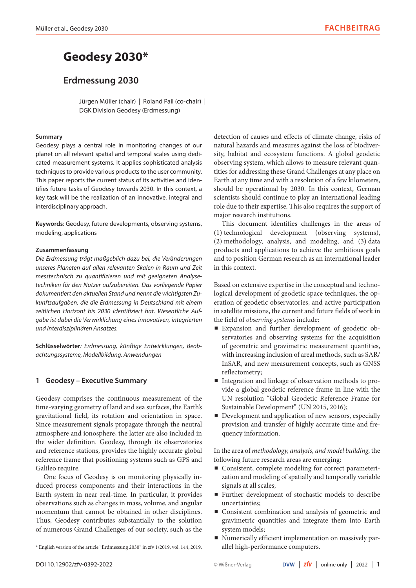# **Geodesy 2030\***

## **Erdmessung 2030**

Jürgen Müller (chair) | Roland Pail (co-chair) | DGK Division Geodesy (Erdmessung)

## **Summary**

Geodesy plays a central role in monitoring changes of our planet on all relevant spatial and temporal scales using dedicated measurement systems. It applies sophisticated analysis techniques to provide various products to the user community. This paper reports the current status of its activities and identifies future tasks of Geodesy towards 2030. In this context, a key task will be the realization of an innovative, integral and interdisciplinary approach.

**Keywords**: Geodesy, future developments, observing systems, modeling, applications

## **Zusammenfassung**

*Die Erdmessung trägt maßgeblich dazu bei, die Veränderungen unseres Planeten auf allen relevanten Skalen in Raum und Zeit messtechnisch zu quantifizieren und mit geeigneten Analysetechniken für den Nutzer aufzubereiten. Das vorliegende Papier dokumentiert den aktuellen Stand und nennt die wichtigsten Zukunftsaufgaben, die die Erdmessung in Deutschland mit einem zeitlichen Horizont bis 2030 identifiziert hat. Wesentliche Aufgabe ist dabei die Verwirklichung eines innovativen, integrierten und interdisziplinären Ansatzes.*

**Schlüsselwörter***: Erdmessung, künftige Entwicklungen, Beobachtungssysteme, Modellbildung, Anwendungen*

## **1 Geodesy – Executive Summary**

Geodesy comprises the continuous measurement of the time-varying geometry of land and sea surfaces, the Earth's gravitational field, its rotation and orientation in space. Since measurement signals propagate through the neutral atmosphere and ionosphere, the latter are also included in the wider definition. Geodesy, through its observatories and reference stations, provides the highly accurate global reference frame that positioning systems such as GPS and Galileo require.

One focus of Geodesy is on monitoring physically induced process components and their interactions in the Earth system in near real-time. In particular, it provides observations such as changes in mass, volume, and angular momentum that cannot be obtained in other disciplines. Thus, Geodesy contributes substantially to the solution of numerous Grand Challenges of our society, such as the detection of causes and effects of climate change, risks of natural hazards and measures against the loss of biodiversity, habitat and ecosystem functions. A global geodetic observing system, which allows to measure relevant quantities for addressing these Grand Challenges at any place on Earth at any time and with a resolution of a few kilometers, should be operational by 2030. In this context, German scientists should continue to play an international leading role due to their expertise. This also requires the support of major research institutions.

This document identifies challenges in the areas of (1) technological development (observing systems), (2) methodology, analysis, and modeling, and (3) data products and applications to achieve the ambitious goals and to position German research as an international leader in this context.

Based on extensive expertise in the conceptual and technological development of geodetic space techniques, the operation of geodetic observatories, and active participation in satellite missions, the current and future fields of work in the field of *observing systems* include:

- p Expansion and further development of geodetic observatories and observing systems for the acquisition of geometric and gravimetric measurement quantities, with increasing inclusion of areal methods, such as SAR/ InSAR, and new measurement concepts, such as GNSS reflectometry;
- p Integration and linkage of observation methods to provide a global geodetic reference frame in line with the UN resolution "Global Geodetic Reference Frame for Sustainable Development" (UN 2015, 2016);
- **P** Development and application of new sensors, especially provision and transfer of highly accurate time and frequency information.

In the area of *methodology, analysis, and model building*, the following future research areas are emerging:

- Consistent, complete modeling for correct parameterization and modeling of spatially and temporally variable signals at all scales;
- p Further development of stochastic models to describe uncertainties;
- p Consistent combination and analysis of geometric and gravimetric quantities and integrate them into Earth system models;
- p Numerically efficient implementation on massively parallel high-performance computers.

<sup>\*</sup> English version of the article "Erdmessung 2030" in zfv 1/2019, vol. 144, 2019.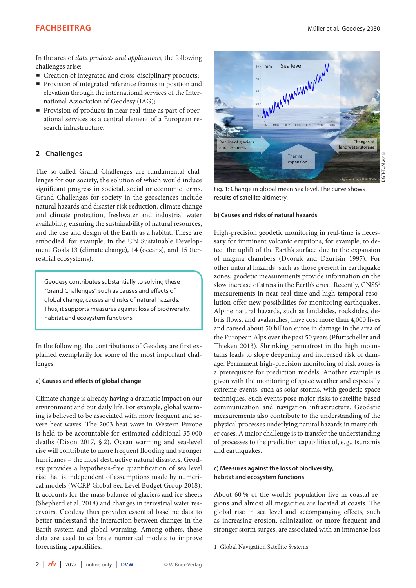In the area of *data products and applications*, the following challenges arise:

- $\blacksquare$  Creation of integrated and cross-disciplinary products;
- **Provision of integrated reference frames in position and** elevation through the international services of the International Association of Geodesy (IAG);
- p Provision of products in near real-time as part of operational services as a central element of a European research infrastructure.

## **2 Challenges**

The so-called Grand Challenges are fundamental challenges for our society, the solution of which would induce significant progress in societal, social or economic terms. Grand Challenges for society in the geosciences include natural hazards and disaster risk reduction, climate change and climate protection, freshwater and industrial water availability, ensuring the sustainability of natural resources, and the use and design of the Earth as a habitat. These are embodied, for example, in the UN Sustainable Development Goals 13 (climate change), 14 (oceans), and 15 (terrestrial ecosystems).

Geodesy contributes substantially to solving these "Grand Challenges", such as causes and effects of global change, causes and risks of natural hazards. Thus, it supports measures against loss of biodiversity, habitat and ecosystem functions.

In the following, the contributions of Geodesy are first explained exemplarily for some of the most important challenges:

#### **a) Causes and effects of global change**

Climate change is already having a dramatic impact on our environment and our daily life. For example, global warming is believed to be associated with more frequent and severe heat waves. The 2003 heat wave in Western Europe is held to be accountable for estimated additional 35,000 deaths (Dixon 2017, § 2). Ocean warming and sea-level rise will contribute to more frequent flooding and stronger hurricanes – the most destructive natural disasters. Geodesy provides a hypothesis-free quantification of sea level rise that is independent of assumptions made by numerical models (WCRP Global Sea Level Budget Group 2018). It accounts for the mass balance of glaciers and ice sheets (Shepherd et al. 2018) and changes in terrestrial water reservoirs. Geodesy thus provides essential baseline data to better understand the interaction between changes in the Earth system and global warming. Among others, these data are used to calibrate numerical models to improve forecasting capabilities.



**TUM 2018** DGFI-TUM 2018 **GF** 

Fig. 1: Change in global mean sea level. The curve shows results of satellite altimetry.

#### **b) Causes and risks of natural hazards**

High-precision geodetic monitoring in real-time is necessary for imminent volcanic eruptions, for example, to detect the uplift of the Earth's surface due to the expansion of magma chambers (Dvorak and Dzurisin 1997). For other natural hazards, such as those present in earthquake zones, geodetic measurements provide information on the slow increase of stress in the Earth's crust. Recently, GNSS<sup>1</sup> measurements in near real-time and high temporal resolution offer new possibilities for monitoring earthquakes. Alpine natural hazards, such as landslides, rockslides, debris flows, and avalanches, have cost more than 4,000 lives and caused about 50 billion euros in damage in the area of the European Alps over the past 50 years (Pfurtscheller and Thieken 2013). Shrinking permafrost in the high mountains leads to slope deepening and increased risk of damage. Permanent high-precision monitoring of risk zones is a prerequisite for prediction models. Another example is given with the monitoring of space weather and especially extreme events, such as solar storms, with geodetic space techniques. Such events pose major risks to satellite-based communication and navigation infrastructure. Geodetic measurements also contribute to the understanding of the physical processes underlying natural hazards in many other cases. A major challenge is to transfer the understanding of processes to the prediction capabilities of, e. g., tsunamis and earthquakes.

## **c) Measures against the loss of biodiversity, habitat and ecosystem functions**

About 60 % of the world's population live in coastal regions and almost all megacities are located at coasts. The global rise in sea level and accompanying effects, such as increasing erosion, salinization or more frequent and stronger storm surges, are associated with an immense loss

<sup>1</sup> Global Navigation Satellite Systems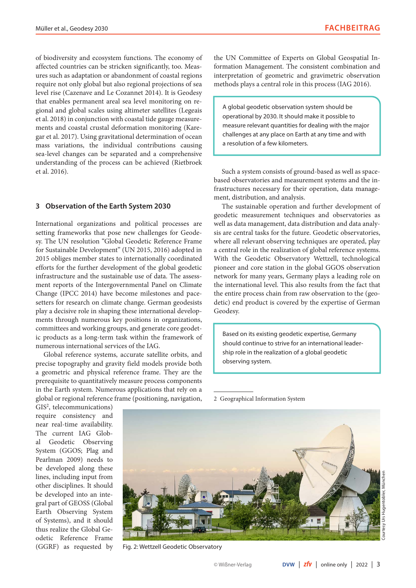of biodiversity and ecosystem functions. The economy of affected countries can be stricken significantly, too. Measures such as adaptation or abandonment of coastal regions require not only global but also regional projections of sea level rise (Cazenave and Le Cozannet 2014). It is Geodesy that enables permanent areal sea level monitoring on regional and global scales using altimeter satellites (Legeais et al. 2018) in conjunction with coastal tide gauge measurements and coastal crustal deformation monitoring (Karegar et al. 2017). Using gravitational determination of ocean mass variations, the individual contributions causing sea-level changes can be separated and a comprehensive understanding of the process can be achieved (Rietbroek et al. 2016).

## **3 Observation of the Earth System 2030**

International organizations and political processes are setting frameworks that pose new challenges for Geodesy. The UN resolution "Global Geodetic Reference Frame for Sustainable Development" (UN 2015, 2016) adopted in 2015 obliges member states to internationally coordinated efforts for the further development of the global geodetic infrastructure and the sustainable use of data. The assessment reports of the Intergovernmental Panel on Climate Change (IPCC 2014) have become milestones and pacesetters for research on climate change. German geodesists play a decisive role in shaping these international developments through numerous key positions in organizations, committees and working groups, and generate core geodetic products as a long-term task within the framework of numerous international services of the IAG.

Global reference systems, accurate satellite orbits, and precise topography and gravity field models provide both a geometric and physical reference frame. They are the prerequisite to quantitatively measure process components in the Earth system. Numerous applications that rely on a global or regional reference frame (positioning, navigation,

the UN Committee of Experts on Global Geospatial Information Management. The consistent combination and interpretation of geometric and gravimetric observation methods plays a central role in this process (IAG 2016).

A global geodetic observation system should be operational by 2030. It should make it possible to measure relevant quantities for dealing with the major challenges at any place on Earth at any time and with a resolution of a few kilometers.

Such a system consists of ground-based as well as spacebased observatories and measurement systems and the infrastructures necessary for their operation, data management, distribution, and analysis.

The sustainable operation and further development of geodetic measurement techniques and observatories as well as data management, data distribution and data analysis are central tasks for the future. Geodetic observatories, where all relevant observing techniques are operated, play a central role in the realization of global reference systems. With the Geodetic Observatory Wettzell, technological pioneer and core station in the global GGOS observation network for many years, Germany plays a leading role on the international level. This also results from the fact that the entire process chain from raw observation to the (geodetic) end product is covered by the expertise of German Geodesy.

Based on its existing geodetic expertise, Germany should continue to strive for an international leadership role in the realization of a global geodetic observing system.

GIS2 , telecommunications) require consistency and near real-time availability. The current IAG Global Geodetic Observing System (GGOS; Plag and Pearlman 2009) needs to be developed along these lines, including input from other disciplines. It should be developed into an integral part of GEOSS (Global Earth Observing System of Systems), and it should thus realize the Global Geodetic Reference Frame (GGRF) as requested by

2 Geographical Information System



Fig. 2: Wettzell Geodetic Observatory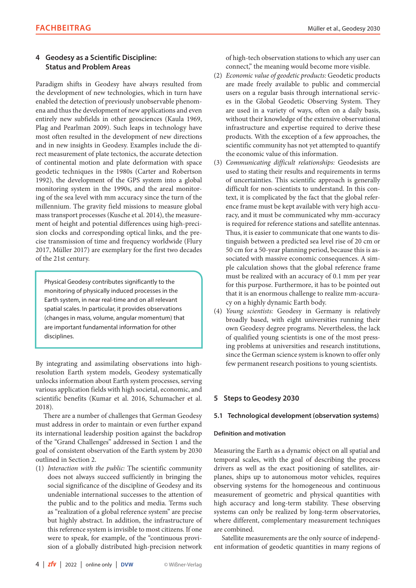## **4 Geodesy as a Scientific Discipline: Status and Problem Areas**

Paradigm shifts in Geodesy have always resulted from the development of new technologies, which in turn have enabled the detection of previously unobservable phenomena and thus the development of new applications and even entirely new subfields in other geosciences (Kaula 1969, Plag and Pearlman 2009). Such leaps in technology have most often resulted in the development of new directions and in new insights in Geodesy. Examples include the direct measurement of plate tectonics, the accurate detection of continental motion and plate deformation with space geodetic techniques in the 1980s (Carter and Robertson 1992), the development of the GPS system into a global monitoring system in the 1990s, and the areal monitoring of the sea level with mm accuracy since the turn of the millennium. The gravity field missions to measure global mass transport processes (Kusche et al. 2014), the measurement of height and potential differences using high-precision clocks and corresponding optical links, and the precise transmission of time and frequency worldwide (Flury 2017, Müller 2017) are exemplary for the first two decades of the 21st century.

Physical Geodesy contributes significantly to the monitoring of physically induced processes in the Earth system, in near real-time and on all relevant spatial scales. In particular, it provides observations (changes in mass, volume, angular momentum) that are important fundamental information for other disciplines.

By integrating and assimilating observations into highresolution Earth system models, Geodesy systematically unlocks information about Earth system processes, serving various application fields with high societal, economic, and scientific benefits (Kumar et al. 2016, Schumacher et al. 2018).

There are a number of challenges that German Geodesy must address in order to maintain or even further expand its international leadership position against the backdrop of the "Grand Challenges" addressed in Section 1 and the goal of consistent observation of the Earth system by 2030 outlined in Section 2.

(1) *Interaction with the public:* The scientific community does not always succeed sufficiently in bringing the social significance of the discipline of Geodesy and its undeniable international successes to the attention of the public and to the politics and media. Terms such as "realization of a global reference system" are precise but highly abstract. In addition, the infrastructure of this reference system is invisible to most citizens. If one were to speak, for example, of the "continuous provision of a globally distributed high-precision network

of high-tech observation stations to which any user can connect," the meaning would become more visible.

- (2) *Economic value of geodetic products:* Geodetic products are made freely available to public and commercial users on a regular basis through international services in the Global Geodetic Observing System. They are used in a variety of ways, often on a daily basis, without their knowledge of the extensive observational infrastructure and expertise required to derive these products. With the exception of a few approaches, the scientific community has not yet attempted to quantify the economic value of this information.
- (3) *Communicating difficult relationships:* Geodesists are used to stating their results and requirements in terms of uncertainties. This scientific approach is generally difficult for non-scientists to understand. In this context, it is complicated by the fact that the global reference frame must be kept available with very high accuracy, and it must be communicated why mm-accuracy is required for reference stations and satellite antennas. Thus, it is easier to communicate that one wants to distinguish between a predicted sea level rise of 20 cm or 50 cm for a 50-year planning period, because this is associated with massive economic consequences. A simple calculation shows that the global reference frame must be realized with an accuracy of 0.1 mm per year for this purpose. Furthermore, it has to be pointed out that it is an enormous challenge to realize mm-accuracy on a highly dynamic Earth body.
- (4) *Young scientists:* Geodesy in Germany is relatively broadly based, with eight universities running their own Geodesy degree programs. Nevertheless, the lack of qualified young scientists is one of the most pressing problems at universities and research institutions, since the German science system is known to offer only few permanent research positions to young scientists.

## **5 Steps to Geodesy 2030**

## **5.1 Technological development (observation systems)**

#### **Definition and motivation**

Measuring the Earth as a dynamic object on all spatial and temporal scales, with the goal of describing the process drivers as well as the exact positioning of satellites, airplanes, ships up to autonomous motor vehicles, requires observing systems for the homogeneous and continuous measurement of geometric and physical quantities with high accuracy and long-term stability. These observing systems can only be realized by long-term observatories, where different, complementary measurement techniques are combined.

Satellite measurements are the only source of independent information of geodetic quantities in many regions of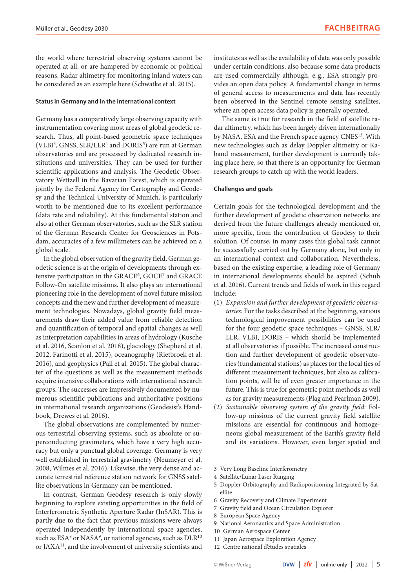the world where terrestrial observing systems cannot be operated at all, or are hampered by economic or political reasons. Radar altimetry for monitoring inland waters can be considered as an example here (Schwatke et al. 2015).

#### **Status in Germany and in the international context**

Germany has a comparatively large observing capacity with instrumentation covering most areas of global geodetic research. Thus, all point-based geometric space techniques (VLBI<sup>3</sup>, GNSS, SLR/LLR<sup>4</sup> and DORIS<sup>5</sup>) are run at German observatories and are processed by dedicated research institutions and universities. They can be used for further scientific applications and analysis. The Geodetic Observatory Wettzell in the Bavarian Forest, which is operated jointly by the Federal Agency for Cartography and Geodesy and the Technical University of Munich, is particularly worth to be mentioned due to its excellent performance (data rate and reliability). At this fundamental station and also at other German observatories, such as the SLR station of the German Research Center for Geosciences in Potsdam, accuracies of a few millimeters can be achieved on a global scale.

In the global observation of the gravity field, German geodetic science is at the origin of developments through extensive participation in the GRACE<sup>6</sup>, GOCE<sup>7</sup> and GRACE Follow-On satellite missions. It also plays an international pioneering role in the development of novel future mission concepts and the new and further development of measurement technologies. Nowadays, global gravity field measurements draw their added value from reliable detection and quantification of temporal and spatial changes as well as interpretation capabilities in areas of hydrology (Kusche et al. 2016, Scanlon et al. 2018), glaciology (Shepherd et al. 2012, Farinotti et al. 2015), oceanography (Rietbroek et al. 2016), and geophysics (Pail et al. 2015). The global character of the questions as well as the measurement methods require intensive collaborations with international research groups. The successes are impressively documented by numerous scientific publications and authoritative positions in international research organizations (Geodesist's Handbook, Drewes et al. 2016).

The global observations are complemented by numerous terrestrial observing systems, such as absolute or superconducting gravimeters, which have a very high accuracy but only a punctual global coverage. Germany is very well established in terrestrial gravimetry (Neumeyer et al. 2008, Wilmes et al. 2016). Likewise, the very dense and accurate terrestrial reference station network for GNSS satellite observations in Germany can be mentioned.

In contrast, German Geodesy research is only slowly beginning to explore existing opportunities in the field of Interferometric Synthetic Aperture Radar (InSAR). This is partly due to the fact that previous missions were always operated independently by international space agencies, such as  $ESA^8$  or NASA<sup>9</sup>, or national agencies, such as  $DLR^{10}$ or JAXA11, and the involvement of university scientists and institutes as well as the availability of data was only possible under certain conditions, also because some data products are used commercially although, e. g., ESA strongly provides an open data policy. A fundamental change in terms of general access to measurements and data has recently been observed in the Sentinel remote sensing satellites, where an open access data policy is generally operated.

The same is true for research in the field of satellite radar altimetry, which has been largely driven internationally by NASA, ESA and the French space agency CNES<sup>12</sup>. With new technologies such as delay Doppler altimetry or Kaband measurement, further development is currently taking place here, so that there is an opportunity for German research groups to catch up with the world leaders.

#### **Challenges and goals**

Certain goals for the technological development and the further development of geodetic observation networks are derived from the future challenges already mentioned or, more specific, from the contribution of Geodesy to their solution. Of course, in many cases this global task cannot be successfully carried out by Germany alone, but only in an international context and collaboration. Nevertheless, based on the existing expertise, a leading role of Germany in international developments should be aspired (Schuh et al. 2016). Current trends and fields of work in this regard include:

- (1) *Expansion and further development of geodetic observatories:* For the tasks described at the beginning, various technological improvement possibilities can be used for the four geodetic space techniques – GNSS, SLR/ LLR, VLBI, DORIS – which should be implemented at all observatories if possible. The increased construction and further development of geodetic observatories (fundamental stations) as places for the local ties of different measurement techniques, but also as calibration points, will be of even greater importance in the future. This is true for geometric point methods as well as for gravity measurements (Plag and Pearlman 2009).
- (2) *Sustainable observing system of the gravity field:* Follow-up missions of the current gravity field satellite missions are essential for continuous and homogeneous global measurement of the Earth's gravity field and its variations. However, even larger spatial and

6 Gravity Recovery and Climate Experiment

- 8 European Space Agency
- 9 National Aeronautics and Space Administration

- 11 Japan Aerospace Exploration Agency
- 12 Centre national d'études spatiales

<sup>3</sup> Very Long Baseline Interferometry

<sup>4</sup> Satellite/Lunar Laser Ranging

<sup>5</sup> Doppler Orbitography and Radiopositioning Integrated by Satellite

<sup>7</sup> Gravity field and Ocean Circulation Explorer

<sup>10</sup> German Aerospace Center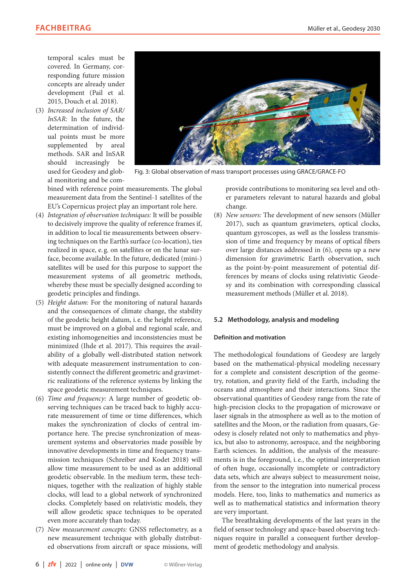temporal scales must be covered. In Germany, corresponding future mission concepts are already under development (Pail et al. 2015, Douch et al. 2018).

(3) *Increased inclusion of SAR/ InSAR:* In the future, the determination of individual points must be more supplemented by areal methods. SAR and InSAR should increasingly be used for Geodesy and global monitoring and be com-



Fig. 3: Global observation of mass transport processes using GRACE/GRACE-FO

bined with reference point measurements. The global measurement data from the Sentinel-1 satellites of the EU's Copernicus project play an important role here.

- (4) *Integration of observation techniques:* It will be possible to decisively improve the quality of reference frames if, in addition to local tie measurements between observing techniques on the Earth's surface (co-location), ties realized in space, e. g. on satellites or on the lunar surface, become available. In the future, dedicated (mini-) satellites will be used for this purpose to support the measurement systems of all geometric methods, whereby these must be specially designed according to geodetic principles and findings.
- (5) *Height datum:* For the monitoring of natural hazards and the consequences of climate change, the stability of the geodetic height datum, i. e. the height reference, must be improved on a global and regional scale, and existing inhomogeneities and inconsistencies must be minimized (Ihde et al. 2017). This requires the availability of a globally well-distributed station network with adequate measurement instrumentation to consistently connect the different geometric and gravimetric realizations of the reference systems by linking the space geodetic measurement techniques.
- (6) *Time and frequency:* A large number of geodetic observing techniques can be traced back to highly accurate measurement of time or time differences, which makes the synchronization of clocks of central importance here. The precise synchronization of measurement systems and observatories made possible by innovative developments in time and frequency transmission techniques (Schreiber and Kodet 2018) will allow time measurement to be used as an additional geodetic observable. In the medium term, these techniques, together with the realization of highly stable clocks, will lead to a global network of synchronized clocks. Completely based on relativistic models, they will allow geodetic space techniques to be operated even more accurately than today.
- (7) *New measurement concepts:* GNSS reflectometry, as a new measurement technique with globally distributed observations from aircraft or space missions, will

provide contributions to monitoring sea level and other parameters relevant to natural hazards and global change.

(8) *New sensors:* The development of new sensors (Müller 2017), such as quantum gravimeters, optical clocks, quantum gyroscopes, as well as the lossless transmission of time and frequency by means of optical fibers over large distances addressed in (6), opens up a new dimension for gravimetric Earth observation, such as the point-by-point measurement of potential differences by means of clocks using relativistic Geodesy and its combination with corresponding classical measurement methods (Müller et al. 2018).

## **5.2 Methodology, analysis and modeling**

#### **Definition and motivation**

The methodological foundations of Geodesy are largely based on the mathematical-physical modeling necessary for a complete and consistent description of the geometry, rotation, and gravity field of the Earth, including the oceans and atmosphere and their interactions. Since the observational quantities of Geodesy range from the rate of high-precision clocks to the propagation of microwave or laser signals in the atmosphere as well as to the motion of satellites and the Moon, or the radiation from quasars, Geodesy is closely related not only to mathematics and physics, but also to astronomy, aerospace, and the neighboring Earth sciences. In addition, the analysis of the measurements is in the foreground, i. e., the optimal interpretation of often huge, occasionally incomplete or contradictory data sets, which are always subject to measurement noise, from the sensor to the integration into numerical process models. Here, too, links to mathematics and numerics as well as to mathematical statistics and information theory are very important.

The breathtaking developments of the last years in the field of sensor technology and space-based observing techniques require in parallel a consequent further development of geodetic methodology and analysis.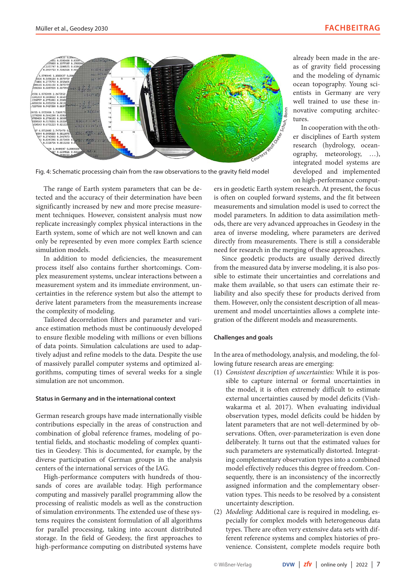

Fig. 4: Schematic processing chain from the raw observations to the gravity field model

The range of Earth system parameters that can be detected and the accuracy of their determination have been significantly increased by new and more precise measurement techniques. However, consistent analysis must now replicate increasingly complex physical interactions in the Earth system, some of which are not well known and can only be represented by even more complex Earth science simulation models.

In addition to model deficiencies, the measurement process itself also contains further shortcomings. Complex measurement systems, unclear interactions between a measurement system and its immediate environment, uncertainties in the reference system but also the attempt to derive latent parameters from the measurements increase the complexity of modeling.

Tailored decorrelation filters and parameter and variance estimation methods must be continuously developed to ensure flexible modeling with millions or even billions of data points. Simulation calculations are used to adaptively adjust and refine models to the data. Despite the use of massively parallel computer systems and optimized algorithms, computing times of several weeks for a single simulation are not uncommon.

#### **Status in Germany and in the international context**

German research groups have made internationally visible contributions especially in the areas of construction and combination of global reference frames, modeling of potential fields, and stochastic modeling of complex quantities in Geodesy. This is documented, for example, by the diverse participation of German groups in the analysis centers of the international services of the IAG.

High-performance computers with hundreds of thousands of cores are available today. High performance computing and massively parallel programming allow the processing of realistic models as well as the construction of simulation environments. The extended use of these systems requires the consistent formulation of all algorithms for parallel processing, taking into account distributed storage. In the field of Geodesy, the first approaches to high-performance computing on distributed systems have already been made in the areas of gravity field processing and the modeling of dynamic ocean topography. Young scientists in Germany are very well trained to use these innovative computing architectures.

In cooperation with the other disciplines of Earth system research (hydrology, oceanography, meteorology, …), integrated model systems are developed and implemented on high-performance comput-

ers in geodetic Earth system research. At present, the focus is often on coupled forward systems, and the fit between measurements and simulation model is used to correct the model parameters. In addition to data assimilation methods, there are very advanced approaches in Geodesy in the area of inverse modeling, where parameters are derived directly from measurements. There is still a considerable need for research in the merging of these approaches.

Since geodetic products are usually derived directly from the measured data by inverse modeling, it is also possible to estimate their uncertainties and correlations and make them available, so that users can estimate their reliability and also specify these for products derived from them. However, only the consistent description of all measurement and model uncertainties allows a complete integration of the different models and measurements.

#### **Challenges and goals**

In the area of methodology, analysis, and modeling, the following future research areas are emerging:

- (1) *Consistent description of uncertainties:* While it is possible to capture internal or formal uncertainties in the model, it is often extremely difficult to estimate external uncertainties caused by model deficits (Vishwakarma et al. 2017). When evaluating individual observation types, model deficits could be hidden by latent parameters that are not well-determined by observations. Often, over-parameterization is even done deliberately. It turns out that the estimated values for such parameters are systematically distorted. Integrating complementary observation types into a combined model effectively reduces this degree of freedom. Consequently, there is an inconsistency of the incorrectly assigned information and the complementary observation types. This needs to be resolved by a consistent uncertainty description.
- (2) *Modeling:* Additional care is required in modeling, especially for complex models with heterogeneous data types. There are often very extensive data sets with different reference systems and complex histories of provenience. Consistent, complete models require both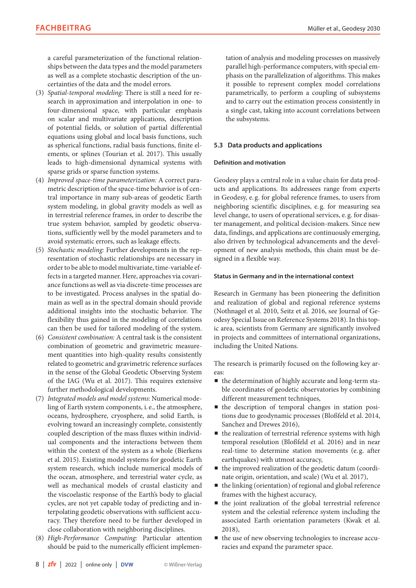a careful parameterization of the functional relationships between the data types and the model parameters as well as a complete stochastic description of the uncertainties of the data and the model errors.

- (3) *Spatial-temporal modeling:* There is still a need for research in approximation and interpolation in one- to four-dimensional space, with particular emphasis on scalar and multivariate applications, description of potential fields, or solution of partial differential equations using global and local basis functions, such as spherical functions, radial basis functions, finite elements, or splines (Tourian et al. 2017). This usually leads to high-dimensional dynamical systems with sparse grids or sparse function systems.
- (4) *Improved space-time parameterization:* A correct parametric description of the space-time behavior is of central importance in many sub-areas of geodetic Earth system modeling, in global gravity models as well as in terrestrial reference frames, in order to describe the true system behavior, sampled by geodetic observations, sufficiently well by the model parameters and to avoid systematic errors, such as leakage effects.
- (5) *Stochastic modeling:* Further developments in the representation of stochastic relationships are necessary in order to be able to model multivariate, time-variable effects in a targeted manner. Here, approaches via covariance functions as well as via discrete-time processes are to be investigated. Process analyses in the spatial domain as well as in the spectral domain should provide additional insights into the stochastic behavior. The flexibility thus gained in the modeling of correlations can then be used for tailored modeling of the system.
- (6) *Consistent combination:* A central task is the consistent combination of geometric and gravimetric measurement quantities into high-quality results consistently related to geometric and gravimetric reference surfaces in the sense of the Global Geodetic Observing System of the IAG (Wu et al. 2017). This requires extensive further methodological developments.
- (7) *Integrated models and model systems:* Numerical modeling of Earth system components, i. e., the atmosphere, oceans, hydrosphere, cryosphere, and solid Earth, is evolving toward an increasingly complete, consistently coupled description of the mass fluxes within individual components and the interactions between them within the context of the system as a whole (Bierkens et al. 2015). Existing model systems for geodetic Earth system research, which include numerical models of the ocean, atmosphere, and terrestrial water cycle, as well as mechanical models of crustal elasticity and the viscoelastic response of the Earth's body to glacial cycles, are not yet capable today of predicting and interpolating geodetic observations with sufficient accuracy. They therefore need to be further developed in close collaboration with neighboring disciplines.
- (8) *High-Performance Computing:* Particular attention should be paid to the numerically efficient implemen-

tation of analysis and modeling processes on massively parallel high-performance computers, with special emphasis on the parallelization of algorithms. This makes it possible to represent complex model correlations parametrically, to perform a coupling of subsystems and to carry out the estimation process consistently in a single cast, taking into account correlations between the subsystems.

## **5.3 Data products and applications**

#### **Definition and motivation**

Geodesy plays a central role in a value chain for data products and applications. Its addressees range from experts in Geodesy, e. g. for global reference frames, to users from neighboring scientific disciplines, e. g. for measuring sea level change, to users of operational services, e. g. for disaster management, and political decision-makers. Since new data, findings, and applications are continuously emerging, also driven by technological advancements and the development of new analysis methods, this chain must be designed in a flexible way.

#### **Status in Germany and in the international context**

Research in Germany has been pioneering the definition and realization of global and regional reference systems (Nothnagel et al. 2010, Seitz et al. 2016, see Journal of Geodesy Special Issue on Reference Systems 2018). In this topic area, scientists from Germany are significantly involved in projects and committees of international organizations, including the United Nations.

The research is primarily focused on the following key areas:

- the determination of highly accurate and long-term stable coordinates of geodetic observatories by combining different measurement techniques,
- $\blacksquare$  the description of temporal changes in station positions due to geodynamic processes (Bloßfeld et al. 2014, Sanchez and Drewes 2016),
- $\blacksquare$  the realization of terrestrial reference systems with high temporal resolution (Bloßfeld et al. 2016) and in near real-time to determine station movements (e. g. after earthquakes) with utmost accuracy,
- p the improved realization of the geodetic datum (coordinate origin, orientation, and scale) (Wu et al. 2017),
- $\blacksquare$  the linking (orientation) of regional and global reference frames with the highest accuracy,
- $\blacksquare$  the joint realization of the global terrestrial reference system and the celestial reference system including the associated Earth orientation parameters (Kwak et al. 2018),
- p the use of new observing technologies to increase accuracies and expand the parameter space.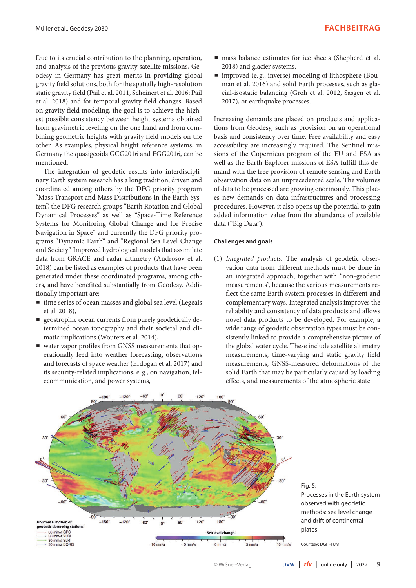Due to its crucial contribution to the planning, operation, and analysis of the previous gravity satellite missions, Geodesy in Germany has great merits in providing global gravity field solutions, both for the spatially high-resolution static gravity field (Pail et al. 2011, Scheinert et al. 2016; Pail et al. 2018) and for temporal gravity field changes. Based on gravity field modeling, the goal is to achieve the highest possible consistency between height systems obtained from gravimetric leveling on the one hand and from combining geometric heights with gravity field models on the other. As examples, physical height reference systems, in Germany the quasigeoids GCG2016 and EGG2016, can be mentioned.

The integration of geodetic results into interdisciplinary Earth system research has a long tradition, driven and coordinated among others by the DFG priority program "Mass Transport and Mass Distributions in the Earth System", the DFG research groups "Earth Rotation and Global Dynamical Processes" as well as "Space-Time Reference Systems for Monitoring Global Change and for Precise Navigation in Space" and currently the DFG priority programs "Dynamic Earth" and "Regional Sea Level Change and Society". Improved hydrological models that assimilate data from GRACE and radar altimetry (Androsov et al. 2018) can be listed as examples of products that have been generated under these coordinated programs, among others, and have benefited substantially from Geodesy. Additionally important are:

- time series of ocean masses and global sea level (Legeais et al. 2018),
- **p** geostrophic ocean currents from purely geodetically determined ocean topography and their societal and climatic implications (Wouters et al. 2014),
- p water vapor profiles from GNSS measurements that operationally feed into weather forecasting, observations and forecasts of space weather (Erdogan et al. 2017) and its security-related implications, e. g., on navigation, telecommunication, and power systems,
- **n** mass balance estimates for ice sheets (Shepherd et al. 2018) and glacier systems,
- $\blacksquare$  improved (e.g., inverse) modeling of lithosphere (Bouman et al. 2016) and solid Earth processes, such as glacial-isostatic balancing (Groh et al. 2012, Sasgen et al. 2017), or earthquake processes.

Increasing demands are placed on products and applications from Geodesy, such as provision on an operational basis and consistency over time. Free availability and easy accessibility are increasingly required. The Sentinel missions of the Copernicus program of the EU and ESA as well as the Earth Explorer missions of ESA fulfill this demand with the free provision of remote sensing and Earth observation data on an unprecedented scale. The volumes of data to be processed are growing enormously. This places new demands on data infrastructures and processing procedures. However, it also opens up the potential to gain added information value from the abundance of available data ("Big Data").

#### **Challenges and goals**

(1) *Integrated products:* The analysis of geodetic observation data from different methods must be done in an integrated approach, together with "non-geodetic measurements", because the various measurements reflect the same Earth system processes in different and complementary ways. Integrated analysis improves the reliability and consistency of data products and allows novel data products to be developed. For example, a wide range of geodetic observation types must be consistently linked to provide a comprehensive picture of the global water cycle. These include satellite altimetry measurements, time-varying and static gravity field measurements, GNSS-measured deformations of the solid Earth that may be particularly caused by loading effects, and measurements of the atmospheric state.



Fig. 5: Processes in the Earth system observed with geodetic methods: sea level change and drift of continental plates

Courtesy: DGFI-TUM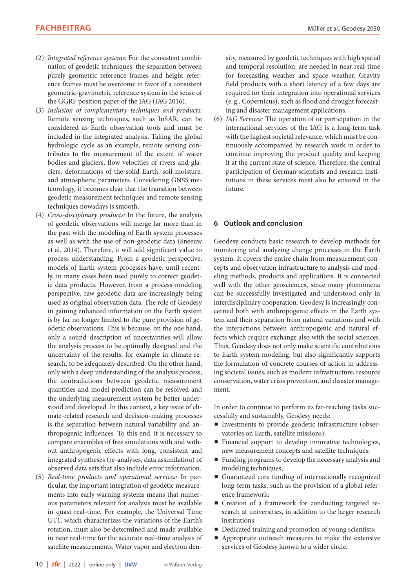- (2) *Integrated reference systems:* For the consistent combination of geodetic techniques, the separation between purely geometric reference frames and height reference frames must be overcome in favor of a consistent geometric-gravimetric reference system in the sense of the GGRF position paper of the IAG (IAG 2016).
- (3) *Inclusion of complementary techniques and products:* Remote sensing techniques, such as InSAR, can be considered as Earth observation tools and must be included in the integrated analysis. Taking the global hydrologic cycle as an example, remote sensing contributes to the measurement of the extent of water bodies and glaciers, flow velocities of rivers and glaciers, deformations of the solid Earth, soil moisture, and atmospheric parameters. Considering GNSS meteorology, it becomes clear that the transition between geodetic measurement techniques and remote sensing techniques nowadays is smooth.
- (4) *Cross-disciplinary products:* In the future, the analysis of geodetic observations will merge far more than in the past with the modeling of Earth system processes as well as with the use of non-geodetic data (Sneeuw et al. 2014). Therefore, it will add significant value to process understanding. From a geodetic perspective, models of Earth system processes have, until recently, in many cases been used purely to correct geodetic data products. However, from a process modeling perspective, raw geodetic data are increasingly being used as original observation data. The role of Geodesy in gaining enhanced information on the Earth system is by far no longer limited to the pure provision of geodetic observations. This is because, on the one hand, only a sound description of uncertainties will allow the analysis process to be optimally designed and the uncertainty of the results, for example in climate research, to be adequately described. On the other hand, only with a deep understanding of the analysis process, the contradictions between geodetic measurement quantities and model prediction can be resolved and the underlying measurement system be better understood and developed. In this context, a key issue of climate-related research and decision-making processes is the separation between natural variability and anthropogenic influences. To this end, it is necessary to compare ensembles of free simulations with and without anthropogenic effects with long, consistent and integrated syntheses (re-analyses, data assimilation) of observed data sets that also include error information.
- (5) *Real-time products and operational services:* In particular, the important integration of geodetic measurements into early warning systems means that numerous parameters relevant for analysis must be available in quasi real-time. For example, the Universal Time UT1, which characterizes the variations of the Earth's rotation, must also be determined and made available in near real-time for the accurate real-time analysis of satellite measurements. Water vapor and electron den-

sity, measured by geodetic techniques with high spatial and temporal resolution, are needed in near real-time for forecasting weather and space weather. Gravity field products with a short latency of a few days are required for their integration into operational services (e. g., Copernicus), such as flood and drought forecasting and disaster management applications.

(6) *IAG Services:* The operation of or participation in the international services of the IAG is a long-term task with the highest societal relevance, which must be continuously accompanied by research work in order to continue improving the product quality and keeping it at the current state of science. Therefore, the central participation of German scientists and research institutions in these services must also be ensured in the future.

## **6 Outlook and conclusion**

Geodesy conducts basic research to develop methods for monitoring and analyzing change processes in the Earth system. It covers the entire chain from measurement concepts and observation infrastructure to analysis and modeling methods, products and applications. It is connected well with the other geosciences, since many phenomena can be successfully investigated and understood only in interdisciplinary cooperation. Geodesy is increasingly concerned both with anthropogenic effects in the Earth system and their separation from natural variations and with the interactions between anthropogenic and natural effects which require exchange also with the social sciences. Thus, Geodesy does not only make scientific contributions to Earth system modeling, but also significantly supports the formulation of concrete courses of action in addressing societal issues, such as modern infrastructure, resource conservation, water crisis prevention, and disaster management.

In order to continue to perform its far-reaching tasks successfully and sustainably, Geodesy needs:

- $\blacksquare$  Investments to provide geodetic infrastructure (observatories on Earth, satellite missions);
- **Financial support to develop innovative technologies,** new measurement concepts and satellite techniques;
- p Funding programs to develop the necessary analysis and modeling techniques;
- p Guaranteed core funding of internationally recognized long-term tasks, such as the provision of a global reference framework;
- Creation of a framework for conducting targeted research at universities, in addition to the larger research institutions;
- **P** Dedicated training and promotion of young scientists;
- **•** Appropriate outreach measures to make the extensive services of Geodesy known to a wider circle.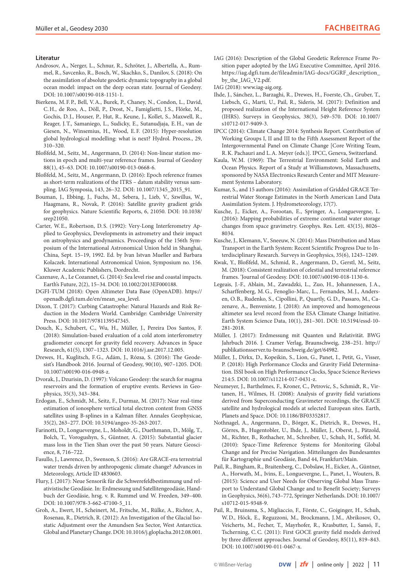#### **Literatur**

- Androsov, A., Nerger, L., Schnur, R., Schröter, J., Albertella, A., Rummel, R., Savcenko, R., Bosch, W., Skachko, S., Danilov, S. (2018): On the assimilation of absolute geodetic dynamic topography in a global ocean model: impact on the deep ocean state. Journal of Geodesy. DOI: [10.1007/s00190-018-1151-1.](http://doi.org/10.1007/s00190-018-1151-1)
- Bierkens, M.F.P., Bell, V.A., Burek, P., Chaney, N., Condon, L., David, C.H., de Roo, A., Döll, P., Drost, N., Famiglietti, J. S., Flörke, M., Gochis, D.J., Houser, P., Hut, R., Keune, J., Kollet, S., Maxwell, R., Reager, J.T., Samaniego, L., Sudicky, E., Sutanudjaja, E.H., van de Giesen, N., Winsemius, H., Wood, E.F. (2015): Hyper-resolution global hydrological modelling: what is next? Hydrol. Process., 29, 310–320.
- Bloßfeld, M., Seitz, M., Angermann, D. (2014): Non-linear station motions in epoch and multi-year reference frames. Journal of Geodesy 88(1), 45–63. DOI: [10.1007/s00190-013-0668-6.](http://doi.org/10.1007/s00190-013-0668-6)
- Bloßfeld, M., Seitz, M., Angermann, D. (2016): Epoch reference frames as short-term realizations of the ITRS – datum stability versus sampling. IAG Symposia, 143, 26–32. DOI: [10.1007/1345\\_2015\\_91.](http://doi.org/10.1007/1345_2015_91)
- Bouman, J., Ebbing, J., Fuchs, M., Sebera, J., Lieb, V., Szwillus, W., Haagmans, R., Novak, P. (2016): Satellite gravity gradient grids for geophysics. Nature Scientific Reports, 6, 21050. DOI: [10.1038/](http://doi.org/10.1038/srep21050) [srep21050.](http://doi.org/10.1038/srep21050)
- Carter, W.E., Robertson, D.S. (1992): Very-Long Interferometry Applied to Geophysics, Developments in astrometry and their impact on astrophysics and geodynamics. Proceedings of the 156th Symposium of the International Astronomical Union held in Shanghai, China, Sept. 15–19, 1992. Ed. by Ivan Istvan Mueller and Barbara Kolaczek. International Astronomical Union, Symposium no. 156. Kluwer Academic Publishers, Dordrecht.
- Cazenave, A., Le Cozannet, G. (2014): Sea level rise and coastal impacts. Earth's Future, 2(2), 15–34. DOI: [10.1002/2013EF000188](http://doi.org/10.1002/2013EF000188).
- DGFI-TUM (2018): Open Altimeter Data Base (OpenADB). [https://](https://openadb.dgfi.tum.de/en/mean_sea_level) [openadb.dgfi.tum.de/en/mean\\_sea\\_level](https://openadb.dgfi.tum.de/en/mean_sea_level).
- Dixon, T. (2017): Curbing Catastrophe: Natural Hazards and Risk Reduction in the Modern World. Cambridge: Cambridge University Press. DOI: [10.1017/9781139547345](http://doi.org/10.1017/9781139547345).
- Douch, K., Schubert, C., Wu, H., Müller, J., Pereira Dos Santos, F. (2018): Simulation-based evaluation of a cold atom interferometry gradiometer concept for gravity field recovery. Advances in Space Research, 61(5), 1307–1323. DOI: [10.1016/j.asr.2017.12.005](http://doi.org/10.1016/j.asr.2017.12.005).
- Drewes, H., Kuglitsch, F.G., Adám, J., Rózsa, S. (2016): The Geodesist's Handbook 2016. Journal of Geodesy, 90(10), 907–1205. DOI: [10.1007/s00190-016-0948-z](http://doi.org/10.1007/s00190-016-0948-z).
- Dvorak, J., Dzurisin, D. (1997): Volcano Geodesy: the search for magma reservoirs and the formation of eruptive events. Reviews in Geophysics, 35(3), 343–384.
- Erdogan, E., Schmidt, M., Seitz, F., Durmaz, M. (2017): Near real-time estimation of ionosphere vertical total electron content from GNSS satellites using B-splines in a Kalman filter. Annales Geophysicae, 35(2), 263–277. DOI: [10.5194/angeo-35-263-2017.](http://doi.org/10.5194/angeo-35-263-2017)
- Farinotti, D., Longuevergne, L., Moholdt, G., Duethmann, D., Mölg, T., Bolch, T., Vorogushyn, S., Güntner, A. (2015): Substantial glacier mass loss in the Tien Shan over the past 50 years. Nature Geoscience, 8, 716–722.
- Fasullo, J., Lawrence, D., Swenson, S. (2016): Are GRACE-era terrestrial water trends driven by anthropogenic climate change? Advances in Meteorology, Article ID 4830603.
- Flury, J. (2017): Neue Sensorik für die Schwerefeldbestimmung und relativistische Geodäsie. In: Erdmessung und Satellitengeodäsie, Handbuch der Geodäsie, hrsg. v. R. Rummel und W. Freeden, 349–400. DOI: [10.1007/978-3-662-47100-5\\_11](http://doi.org/10.1007/978-3-662-47100-5_11).
- Groh, A., Ewert, H., Scheinert, M., Fritsche, M., Rülke, A., Richter, A., Rosenau, R., Dietrich, R. (2012): An Investigation of the Glacial Isostatic Adjustment over the Amundsen Sea Sector, West Antarctica. Global and Planetary Change. DOI: [10.1016/j.gloplacha.2012.08.001](http://doi.org/10.1016/j.gloplacha.2012.08.001).
- IAG (2016): Description of the Global Geodetic Reference Frame Position paper adopted by the IAG Executive Committee, April 2016. [https://iag.dgfi.tum.de/fileadmin/IAG-docs/GGRF\\_description\\_](https://iag.dgfi.tum.de/fileadmin/IAG-docs/GGRF_description_by_the_IAG_V2.pdf) [by\\_the\\_IAG\\_V2.pdf](https://iag.dgfi.tum.de/fileadmin/IAG-docs/GGRF_description_by_the_IAG_V2.pdf).
- IAG (2018): [www.iag-aig.org](http://www.iag-aig.org).
- Ihde, J., Sánchez, L., Barzaghi, R., Drewes, H., Foerste, Ch., Gruber, T., Liebsch, G., Marti, U., Pail, R., Sideris, M. (2017): Definition and proposed realization of the International Height Reference System (IHRS). Surveys in Geophysics, 38(3), 549–570. DOI: [10.1007/](http://doi.org/10.1007/s10712-017-9409-3) [s10712-017-9409-3.](http://doi.org/10.1007/s10712-017-9409-3)
- IPCC (2014): Climate Change 2014: Synthesis Report. Contribution of Working Groups I, II and III to the Fifth Assessment Report of the Intergovernmental Panel on Climate Change [Core Writing Team, R.K. Pachauri and L.A. Meyer (eds.)]. IPCC, Geneva, Switzerland.
- Kaula, W.M. (1969): The Terrestrial Environment: Solid Earth and Ocean Physics. Report of a Study at Williamstown, Massachusetts, sponsored by NASA Electronics Research Center and MIT Measurement Systems Laboratory.
- Kumar, S., and 15 authors (2016): Assimilation of Gridded GRACE Terrestrial Water Storage Estimates in the North American Land Data Assimilation System. J. Hydrometeorology, 17(7).
- Kusche, J., Eicker, A., Forootan, E., Springer, A., Longuevergne, L. (2016): Mapping probabilities of extreme continental water storage changes from space gravimetry. Geophys. Res. Lett. 43(15), 8026– 8034.
- Kusche, J., Klemann, V., Sneeuw, N. (2014): Mass Distribution and Mass Transport in the Earth System: Recent Scientific Progress Due to Interdisciplinary Research. Surveys in Geophysics, 35(6), 1243–1249.
- Kwak, Y., Bloßfeld, M., Schmid, R., Angermann, D., Gerstl, M., Seitz, M. (2018): Consistent realization of celestial and terrestrial reference frames. 'Journal of Geodesy. DOI: [10.1007/s00190-018-1130-6.](http://doi.org/10.1007/s00190-018-1130-6)
- Legeais, J.-F., Ablain, M., Zawadzki, L., Zuo, H., Johannessen, J.A., Scharffenberg, M.G., Fenoglio-Marc, L., Fernandes, M.J., Andersen, O.B., Rudenko, S., Cipollini, P., Quartly, G.D., Passaro, M., Cazenave, A., Benveniste, J. (2018): An improved and homogeneous altimeter sea level record from the ESA Climate Change Initiative. Earth System Science Data, 10(1), 281–301. DOI: [10.5194/essd-10-](http://doi.org/10.5194/essd-10-281-2018) [281-2018.](http://doi.org/10.5194/essd-10-281-2018)
- Müller, J. (2017): Erdmessung mit Quanten und Relativität. BWG Jahrbuch 2016. J. Cramer Verlag, Braunschweig, 238–251. [http://](http://publikationsserver.tu-braunschweig.de/get/64982) [publikationsserver.tu-braunschweig.de/get/64982.](http://publikationsserver.tu-braunschweig.de/get/64982)
- Müller, J., Dirkx, D., Kopeikin, S., Lion, G., Panet, I., Petit, G., Visser, P. (2018): High Performance Clocks and Gravity Field Determination. ISSI book on High Performance Clocks, Space Science Reviews 214:5. DOI: [10.1007/s11214-017-0431-z](http://doi.org/10.1007/s11214-017-0431-z).
- Neumeyer, J., Barthelmes, F., Kroner, C., Petrovic, S., Schmidt, R., Virtanen, H., Wilmes, H. (2008): Analysis of gravity field variations derived from Superconducting Gravimeter recordings, the GRACE satellite and hydrological models at selected European sites. Earth, Planets and Space. DOI: [10.1186/BF03352817.](http://doi.org/10.1186/BF03352817)
- Nothnagel, A., Angermann, D., Börger, K., Dietrich, R., Drewes, H., Görres, B., Hugentobler, U., Ihde, J., Müller, J., Oberst, J., Pätzold, M., Richter, B., Rothacher, M., Schreiber, U., Schuh, H., Soffel, M. (2010): Space-Time Reference Systems for Monitoring Global Change and for Precise Navigation. Mitteilungen des Bundesamtes für Kartographie und Geodäsie, Band 44, Frankfurt/Main.
- Pail, R., Bingham, R., Braitenberg, C., Dobslaw, H., Eicker, A., Güntner, A., Horwath, M., Ivins, E., Longuevergne, L., Panet, I., Wouters, B. (2015): Science and User Needs for Observing Global Mass Transport to Understand Global Change and to Benefit Society; Surveys in Geophysics, 36(6), 743–772, Springer Netherlands. DOI: [10.1007/](http://doi.org/10.1007/s10712-015-9348-9) [s10712-015-9348-9.](http://doi.org/10.1007/s10712-015-9348-9)
- Pail, R., Bruinsma, S., Migliaccio, F., Förste, C., Goiginger, H., Schuh, W.D., Höck, E., Reguzzoni, M., Brockmann, J.M., Abrikosov, O., Veicherts, M., Fecher, T., Mayrhofer, R., Krasbutter, I., Sansó, F., Tscherning, C.C. (2011): First GOCE gravity field models derived by three different approaches. Journal of Geodesy, 85(11), 819–843. DOI: [10.1007/s00190-011-0467-x.](http://doi.org/10.1007/s00190-011-0467-x)